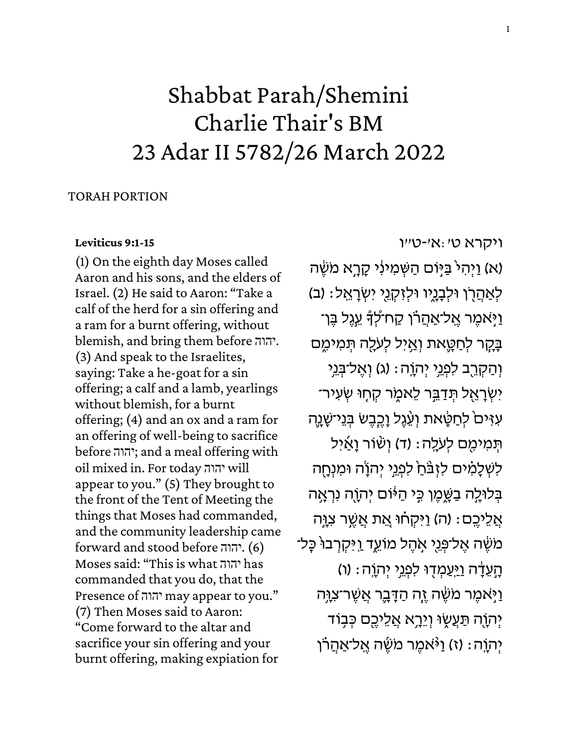# Shabbat Parah/Shemini Charlie Thair's BM 23 Adar II 5782/26 March 2022

### TORAH PORTION

#### **[Leviticus 9:1-15](https://www.sefaria.org/Leviticus.9.1-15)**

(1) On the eighth day Moses called Aaron and his sons, and the elders of Israel. (2) He said to Aaron: "Take a calf of the herd for a sin offering and a ram for a burnt offering, without blemish, and bring them before יהוה. (3) And speak to the Israelites, saying: Take a he-goat for a sin offering; a calf and a lamb, yearlings without blemish, for a burnt offering; (4) and an ox and a ram for an offering of well-being to sacrifice before יהוה ;and a meal offering with oil mixed in. For today יהוה will appear to you." (5) They brought to the front of the Tent of Meeting the things that Moses had commanded, and the community leadership came forward and stood before יהוה.) 6 ( Moses said: "This is what יהוה has commanded that you do, that the Presence of יהוה may appear to you." (7) Then Moses said to Aaron: "Come forward to the altar and sacrifice your sin offering and your burnt offering, making expiation for

[ויקרא](https://www.sefaria.org/Leviticus.9.1-15) [ט׳:א׳-ט״ו](https://www.sefaria.org/Leviticus.9.1-15) (א) וַיְהָיֹ בַּיִּוֹם הַשְּׁמִינְי קָרָא מֹשֵׂה לְאַהֲרָן וּלִבְנֶיו וּלְזִקְנֵי יִשְׂרָאֱל: (ב) ַיַ יִּאמֵר אֱל־אַהֲרֹן קַח־לִדְ עֵגֵל בֵּן־ ּבָּקָר לְחַטֵּאת וְאֵיְל לְעֹלָה תִּמִימֵם וְהַקְרֵב לִפְנֵי יִהְוֶה: (ג) וְאֱל־בָּנֵי יִשְׂרָאֱל תְּדַבֵּר לֵאמֶר קָחָוּ שְׂעִיר־ עִזִּיםׂ לְחַטָּאת וְעֵٛגֵל וָכֵבֵשׂ בִּנֵי־שָׁנֶה תְּמִימִם לְעֹלֶה: (ד) וְשִׂוֹר וָאַיִל לִשְׁלָמִים לִזְבֹּחַ לִפְגֵי יִהוָֹה וּמִנְחָה בְּלוּלֶה בַּשֶּׁמֵן כִּי הַיּּׁוֹם יִהְוֶה נִרְאָה ְאֲלֵיכֵם: (ה) וַיִּקְחוּ אֶת אֲשֱר צְוֵה <mark>ּמִשָּׁה אֲל־פְּנֵי א</mark>ָהֵל מוֹעֵד וַיִּקְרִבוּ כָּל־ הָעֶדָה וַיַּעַמְדִוּ לִפְנֵי יִהְוֶה: (ו) ֿוַיָּאמֶר מֹשֶׂה זֶה הַדָּבֶר אֲשֶׁר־צִוָּה יִהוָה תַּעֲשֶׂוּ וְיֵרָא אֲלֵיכֵם כִּבְוֹד יְהְוֵה: (ז) וַי<sub>ּ</sub> אמר מֹשֶׂה אֱל־אַהֲרֹו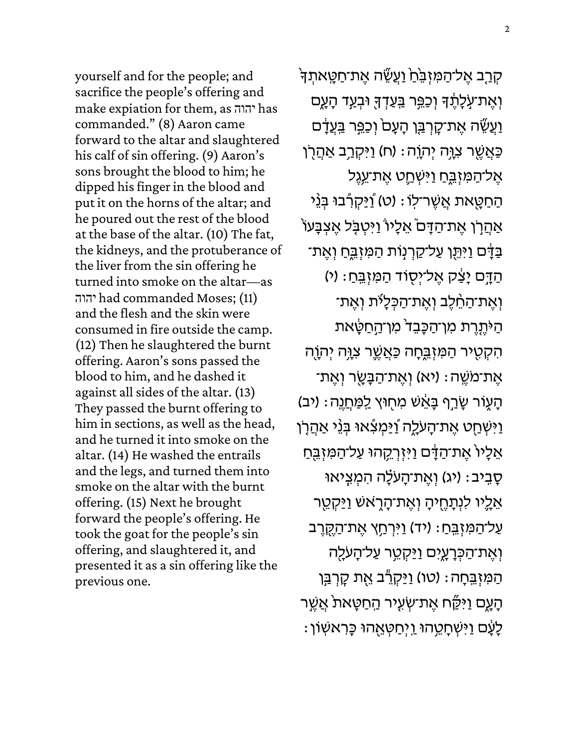yourself and for the people; and sacrifice the people's offering and make expiation for them, as יהוה has commanded." (8) Aaron came forward to the altar and slaughtered his calf of sin offering. (9) Aaron's sons brought the blood to him; he dipped his finger in the blood and put it on the horns of the altar; and he poured out the rest of the blood at the base of the altar. (10) The fat, the kidneys, and the protuberance of the liver from the sin offering he turned into smoke on the altar—as יהוה had commanded Moses; (11) and the flesh and the skin were consumed in fire outside the camp. (12) Then he slaughtered the burnt offering. Aaron's sons passed the blood to him, and he dashed it against all sides of the altar. (13) They passed the burnt offering to him in sections, as well as the head, and he turned it into smoke on the altar. (14) He washed the entrails and the legs, and turned them into smoke on the altar with the burnt offering. (15) Next he brought forward the people's offering. He took the goat for the people's sin offering, and slaughtered it, and presented it as a sin offering like the previous one.

קְרָב אֶל־הַמִּזְבֵּׂהַ וַעֲשֵׂה אֶת־חַטָּאתְדָּ וְאֶת־עַּלְתֶד וְכַפֵּר <u>בִּעַדְ</u>דָּ וּבְעַד הָעֶם ֿוַעֲשֵׂה אֶת־קָרְבַּן הָעָם<sup>י</sup> וְכַפֵּר בַּעֲדָם ַכּאֲשֶׁר צִוָּה יְהֹוֶה: (ח) וַיִּקְרַב אַהֲרָן ּאֶל־הַמִּזְבֵּחַ וַיִּשְְׁחֵֵט אֶת־עֵנֶל ֿהַחַטָּאת אֲשֶׁר־לִו: (ט) וַ<u>ֿי</u>ּקְרָ֫בוּ בְּנֵי ֹאַהֲרָׂן אֶת־הַדָּם אֵלָיוֹ וַיִּטְבָּל אֶצְבָּעוֹ ַבְּדָּם וַיִּתֵּן עַל־קַרִנְוֹת הַמְּזָבֱחַ וְאֵת־ ֿהַדָּם יָצַק אֶל־יְסֻוֹד הַמִּזְבֵּחַ: (י) וְאֵת־הַחֵׁלֵב וְאֵת־הַכְּלָיֹת וְאֵת־ ֿהַיֹּתֶרֶת מִן־הַכָּבֵד מִן־הַחַטָּאת הִקְטִיר הַמִּזְבֵּחָה כַּאֲשֱר צִוָּה יִהְוֶה ֹאֶת־מֹשֶׁה: (יא) וְאֶת־הַבָּשֶׂר וְאֶת־ ֿהָעֶוֹר שָׂרַף בָּאֵשׁ מִחָוּץ <u>לִמַּחֲנ</u>ֶה: (יב) ַוַּיִּשְׁחַט אֶת־הָעֹלֶה <u>ו</u>ַיַּמְצִ֫אוּ בְּנֵ( אַהֲלָן אֵלָיוֹ אֶת־הַדָּם וַיִּזְרְקֵהוּ עַל־הַמִּזְבֵּחַ ּ סָבְיב: (יג) וְאֵת־הָעֹלָה הִמְצִיאוּ אֵלֶיו לִנְתָחֶיהָ וְאֶת־הָרָאשׁ וַיַּקְטֵר ַעֲל־הַמִּזְבֵּחַ: (יד) וַיִּרְחֵץ אֶת־הַקֶּזֶרֶב וְאֶת־הַכְּרָעֳיִם וַיַּקְטֵר עַל־הָעֹ<u>ל</u>ֶה הַמִּזְבֵּחָה: (טו) <u>וַיַּקְר</u>ֶ֫ב אֶת קָרְבַּן ֿהָעֶם וַיִּקַּׂח אֶת־שְׂעִיר הַחַטָּאת אֲשֶׁר ָלָעָׁם וַיִּשְׁחָמֵ<sub>ֶ</sub>הוּ וַיְחַטְאֵהוּ כָּרִאשְׁוֹן: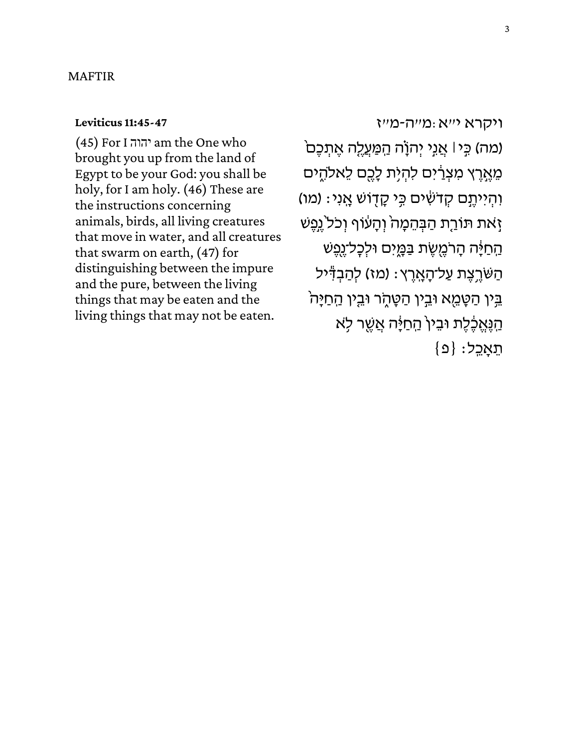#### MAFTIR

#### **[Leviticus 11:45-47](https://www.sefaria.org/Leviticus.11.45-47)**

(45) For I יהוה am the One who brought you up from the land of Egypt to be your God: you shall be holy, for I am holy. (46) These are the instructions concerning animals, birds, all living creatures that move in water, and all creatures that swarm on earth, (47) for distinguishing between the impure and the pure, between the living things that may be eaten and the living things that may not be eaten.

[ויקרא](https://www.sefaria.org/Leviticus.11.45-47) [י״א:מ״ה-מ״ז](https://www.sefaria.org/Leviticus.11.45-47) (מה) כִּי | אֲנִי יְהוָׂה הַמַּעֲלֶה אֶתְכֶם מֵאֶרֶץ מִצְרַ֫יִם לִהְיָת לָכֶם לֵאלהֶים ּוֹהְיִיתֶם קְדֹשִׁים כִּי קָדָוֹשׁ אֲנִי: (מו) זָאת תּוֹרֵת הַבְּהֵמָה<sup>י</sup> וְהָעוֹף וְכֹל<sup>י</sup>גֵפֶשׁ ּהַחַיָּה הָרֹמֵשֶׁת בַּמֲיִם וּלִכָּל־נֵפֵשׁ ּהַשֹּׁרֶצֶת עַל־הָאֶרֶץ: (מז) לְהַבְדִּיל בִּין הַטָּמֵא וּבֵין הַטָּהָר וּבֵין הַחַיָּה ַהֲנֵאֵבֶּ֫לֵת וּבֵין הַחַיָּה אֲשֶׁר לְא  ${ 2 }$ תֵאֲכֵל:  ${ 0 }$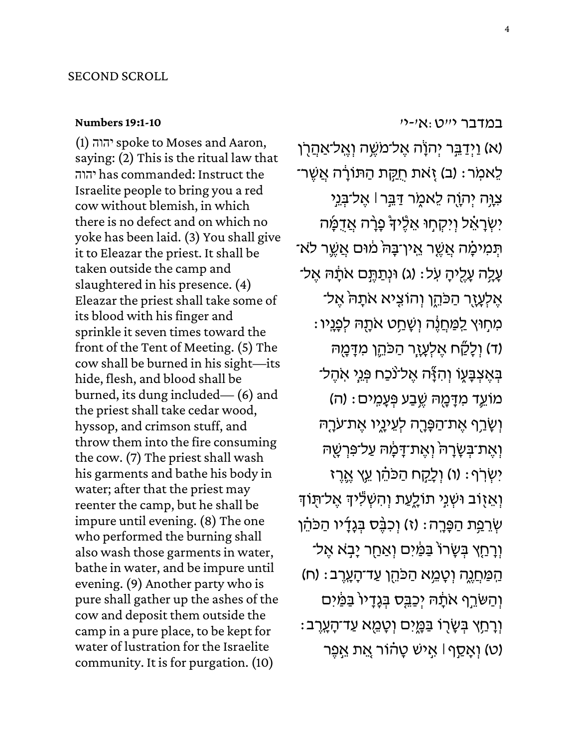#### **[Numbers 19:1-10](https://www.sefaria.org/Numbers.19.1-10)**

(1) יהוהspoke to Moses and Aaron, saying: (2) This is the ritual law that יהוה has commanded: Instruct the Israelite people to bring you a red cow without blemish, in which there is no defect and on which no yoke has been laid. (3) You shall give it to Eleazar the priest. It shall be taken outside the camp and slaughtered in his presence. (4) Eleazar the priest shall take some of its blood with his finger and sprinkle it seven times toward the front of the Tent of Meeting. (5) The cow shall be burned in his sight—its hide, flesh, and blood shall be burned, its dung included— (6) and the priest shall take cedar wood, hyssop, and crimson stuff, and throw them into the fire consuming the cow. (7) The priest shall wash his garments and bathe his body in water; after that the priest may reenter the camp, but he shall be impure until evening. (8) The one who performed the burning shall also wash those garments in water, bathe in water, and be impure until evening. (9) Another party who is pure shall gather up the ashes of the cow and deposit them outside the camp in a pure place, to be kept for water of lustration for the Israelite community. It is for purgation. (10)

[במדבר](https://www.sefaria.org/Numbers.19.1-10) [י״ט:א׳-י׳](https://www.sefaria.org/Numbers.19.1-10)

(א) וַיְדַבֵּר יְהֹוָׂה אֶל־מֹשֶׁה וְאֱל־אַהֲרָן לֵאמִר: (ב) זָאת חֻקַּת הַתּוֹרָה אֲשֶר־ צִוָּה יְהָוֶה לֵאמֶר דַּבֵּר l אֶל־בְּנֵי יִשְׂרָאֵ֫ל וְיִקְחָוּ אֵלֶּיךָ בָּרָה אֲדֻמָּ֫ה ֿ תְּמִיכָּׂוּה אֲשֶׁר אֵין־בָּה מִׁוּם אֲשֱר לֹא ּעֲלֶה עָלֵיהָ עְל: (ג) וּנְתַתֵּֽם אֹתָהּ אֵל־ אֶלְעָזֶר הַכֹּהֱן וְהוֹצִיא אֹתָהֹ אֶל־ ּמִתְוּץ לַמַּתֲנֶה וְשָׁתַט אֹתָהּ לְפָנָיו : ר) וְלָקֵׁח אֶלְעָזֶר הַכֹּהֵן מִדָּמֶה) (ד בְאֶצְבָּעֶוֹ וְהִזָּֽה אֶל־נֹכַח פְּנֵי אִהֶל־ ֹמוֹעֱד מִדָּמֶה שֶֽבַע פְּעָמְים : (ה) וְשָׂרֵף אֵת־הַפָּרֶה לְעֵינָיו אֵת־עֹרָהּ וְ אֵת־בְּשָׂרָהֹ וְאֵת־דָּמָה עַל־פִּרְשָׁה יִשְׂרֹף: (ו) וְלָקָח הַכֹּהֵ*֫ן עֵ*ּץ אֱרֶז וְאֵזָוֹב וּשְנִי תוֹלֵעַת וְהִשְׁלִיהָ אֶל־תֻּוֹדִּ שְׂרֵפַּת הַפָּרֶה: (ז) וְכִבֶּס בְּגָדָיו הַכֹּהֵן וְרָחָץ בְּשָׂרוֹ בַּמַּׂיִם וְאַחַר יָבְא אֶל־ ֹהַמַּחֲנֶה וְטָמֵ֣א הַכֹּהֵן עַד־הָעֲרֶב׃ (ח) וְהַשֹּרֵף אֹתָה יְכַבֵּס בְּגָדָיוֹ בַּמַּ֫יִם ֿוְרָחַץ בְּשָׂרָוֹ בַּמֱיִם וְטָמֵא עַד־הָעְרֶב (ט) וְאָסַף ּا אֵישׁ טָהוֹר אֱת אֱפֵר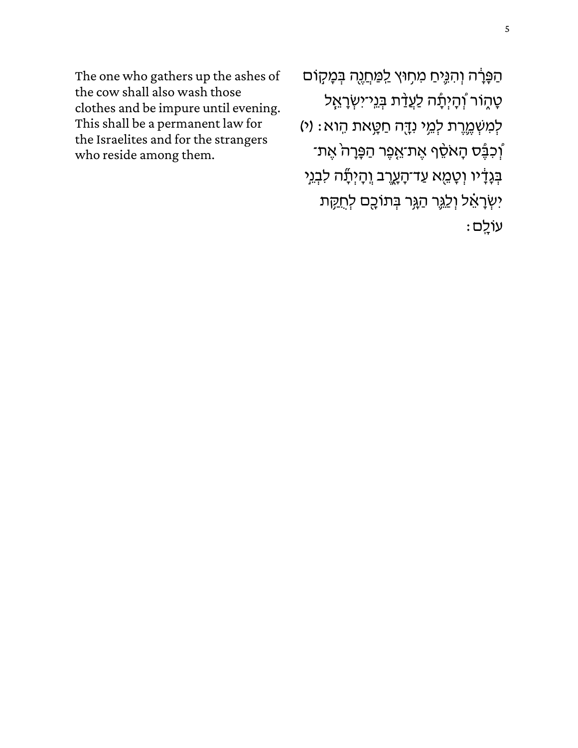The one who gathers up the ashes of the cow shall also wash those clothes and be impure until evening. This shall be a permanent law for the Israelites and for the strangers who reside among them.

הַפָּרָה וְהִגֶּיחַ מִתְוּץ לַמַּחֲנֶה בְּמָקוֹם טָהֶוֹר וְ<sup>ׂ</sup>הָיְתָר לַעֲדַ<sup>ֹּ</sup>ת בְּגֵי־יִשְׂרָאֵל לְמִשְׁמֱרֶת לְמֵי נִדֶּה חַטֲאת הֶוא: (י) ֿוְכִבֶּ֫ס הָאֹסֵ<sup>֫</sup>ף אֶת־אֱפֶר הַפָּרָה אֶת־ בְּגָדָ֫יו וְטָמֵא עַד־הָעֲרֶב וְהָיְתָٗה לִבְנֵי יִשְׂרָאֵׁל וְלַגֶּר הַגְּר בְּתוֹכֻם לְחֻקָּת  $:$  עוֹלֵם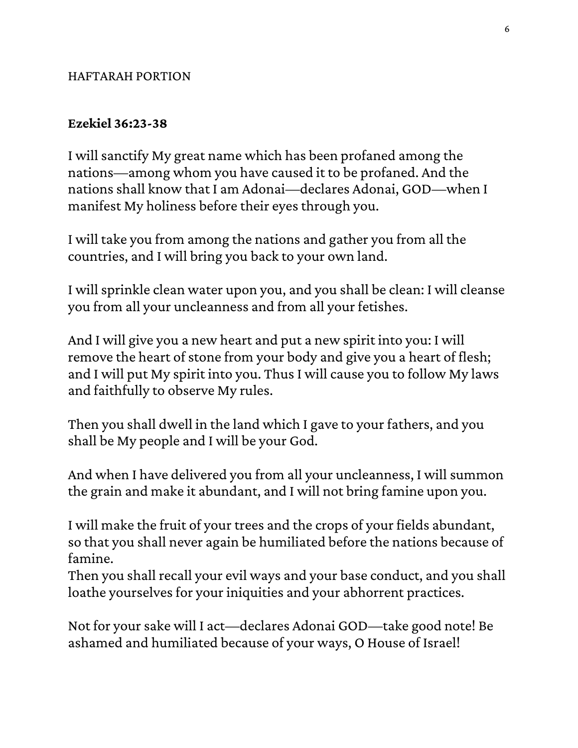## HAFTARAH PORTION

## **Ezekiel 36:23-38**

I will sanctify My great name which has been profaned among the nations—among whom you have caused it to be profaned. And the nations shall know that I am Adonai—declares Adonai, GOD—when I manifest My holiness before their eyes through you.

I will take you from among the nations and gather you from all the countries, and I will bring you back to your own land.

I will sprinkle clean water upon you, and you shall be clean: I will cleanse you from all your uncleanness and from all your fetishes.

And I will give you a new heart and put a new spirit into you: I will remove the heart of stone from your body and give you a heart of flesh; and I will put My spirit into you. Thus I will cause you to follow My laws and faithfully to observe My rules.

Then you shall dwell in the land which I gave to your fathers, and you shall be My people and I will be your God.

And when I have delivered you from all your uncleanness, I will summon the grain and make it abundant, and I will not bring famine upon you.

I will make the fruit of your trees and the crops of your fields abundant, so that you shall never again be humiliated before the nations because of famine.

Then you shall recall your evil ways and your base conduct, and you shall loathe yourselves for your iniquities and your abhorrent practices.

Not for your sake will I act—declares Adonai GOD—take good note! Be ashamed and humiliated because of your ways, O House of Israel!